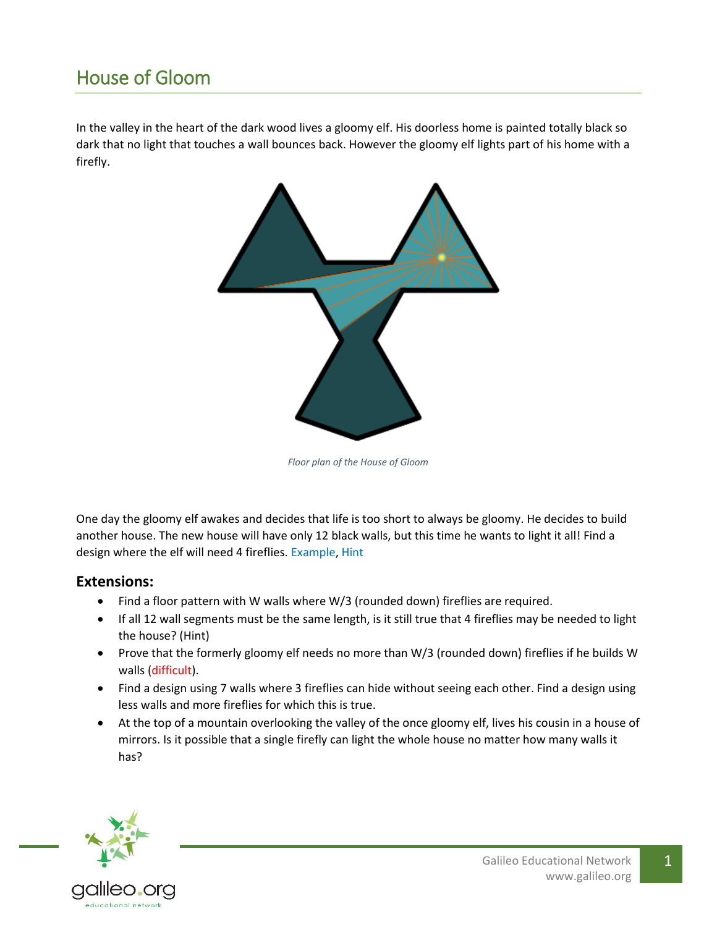## House of Gloom

In the valley in the heart of the dark wood lives a gloomy elf. His doorless home is painted totally black so dark that no light that touches a wall bounces back. However the gloomy elf lights part of his home with a firefly.



*Floor plan of the House of Gloom*

One day the gloomy elf awakes and decides that life is too short to always be gloomy. He decides to build another house. The new house will have only 12 black walls, but this time he wants to light it all! Find a design where the elf will need 4 fireflies. [Example,](http://galileo.org/classroom-examples/math/math-fair-problems/puzzles/house-of-gloom/house-of-gloom-example/) [Hint](http://galileo.org/classroom-examples/math/math-fair-problems/puzzles/house-of-gloom/house-of-gloom-hint-1/)

## **Extensions:**

- Find a floor pattern with W walls where W/3 (rounded down) fireflies are required.
- If all 12 wall segments must be the same length, is it still true that 4 fireflies may be needed to light the house? [\(Hint\)](http://galileo.org/classroom-examples/math/math-fair-problems/puzzles/house-of-gloom/house-of-gloom-hint-2/)
- Prove that the formerly gloomy elf needs no more than W/3 (rounded down) fireflies if he builds W walls (difficult).
- Find a design using 7 walls where 3 fireflies can hide without seeing each other. Find a design using less walls and more fireflies for which this is true.
- At the top of a mountain overlooking the valley of the once gloomy elf, lives his cousin in a house of mirrors. Is it possible that a single firefly can light the whole house no matter how many walls it has?